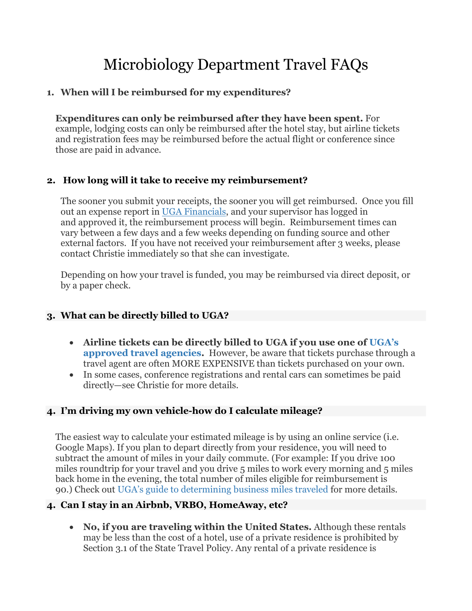# Microbiology Department Travel FAQs

## **1. When will I be reimbursed for my expenditures?**

**Expenditures can only be reimbursed after they have been spent.** For example, lodging costs can only be reimbursed after the hotel stay, but airline tickets and registration fees may be reimbursed before the actual flight or conference since those are paid in advance.

## **2. How long will it take to receive my reimbursement?**

The sooner you submit your receipts, the sooner you will get reimbursed. Once you fill out an expense report in [UGA Financials,](https://financials.onesource.uga.edu/) and your supervisor has logged in and approved it, the reimbursement process will begin. Reimbursement times can vary between a few days and a few weeks depending on funding source and other external factors. If you have not received your reimbursement after 3 weeks, please contact Christie immediately so that she can investigate.

Depending on how your travel is funded, you may be reimbursed via direct deposit, or by a paper check.

# **3. What can be directly billed to UGA?**

- **Airline tickets can be directly billed to UGA if you use one of [UGA's](http://busfin.uga.edu/accounts_payable/authorized_agencies/)  [approved travel agencies.](http://busfin.uga.edu/accounts_payable/authorized_agencies/)** However, be aware that tickets purchase through a travel agent are often MORE EXPENSIVE than tickets purchased on your own.
- In some cases, conference registrations and rental cars can sometimes be paid directly—see Christie for more details.

# **4. I'm driving my own vehicle-how do I calculate mileage?**

The easiest way to calculate your estimated mileage is by using an online service (i.e. Google Maps). If you plan to depart directly from your residence, you will need to subtract the amount of miles in your daily commute. (For example: If you drive 100 miles roundtrip for your travel and you drive 5 miles to work every morning and 5 miles back home in the evening, the total number of miles eligible for reimbursement is 90.) Check out [UGA's guide to determining business miles traveled](http://busfin.uga.edu/accounts_payable/business_miles/) for more details.

# **4. Can I stay in an Airbnb, VRBO, HomeAway, etc?**

• **No, if you are traveling within the United States.** Although these rentals may be less than the cost of a hotel, use of a private residence is prohibited by Section 3.1 of the State Travel Policy. Any rental of a private residence is